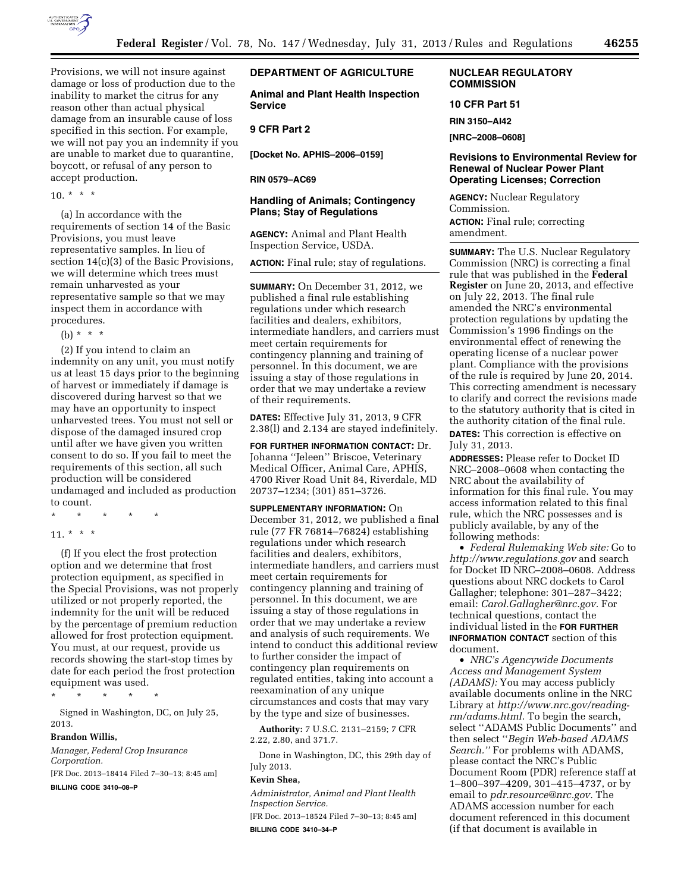

Provisions, we will not insure against damage or loss of production due to the inability to market the citrus for any reason other than actual physical damage from an insurable cause of loss specified in this section. For example, we will not pay you an indemnity if you are unable to market due to quarantine, boycott, or refusal of any person to accept production.

 $10 \times * * *$ 

(a) In accordance with the requirements of section 14 of the Basic Provisions, you must leave representative samples. In lieu of section 14(c)(3) of the Basic Provisions, we will determine which trees must remain unharvested as your representative sample so that we may inspect them in accordance with procedures.

(b)  $* * * *$ 

(2) If you intend to claim an indemnity on any unit, you must notify us at least 15 days prior to the beginning of harvest or immediately if damage is discovered during harvest so that we may have an opportunity to inspect unharvested trees. You must not sell or dispose of the damaged insured crop until after we have given you written consent to do so. If you fail to meet the requirements of this section, all such production will be considered undamaged and included as production to count.

\* \* \* \* \*

11. \* \* \*

(f) If you elect the frost protection option and we determine that frost protection equipment, as specified in the Special Provisions, was not properly utilized or not properly reported, the indemnity for the unit will be reduced by the percentage of premium reduction allowed for frost protection equipment. You must, at our request, provide us records showing the start-stop times by date for each period the frost protection equipment was used.

\* \* \* \* \*

Signed in Washington, DC, on July 25, 2013.

#### **Brandon Willis,**

*Manager, Federal Crop Insurance Corporation.*  [FR Doc. 2013–18414 Filed 7–30–13; 8:45 am]

**BILLING CODE 3410–08–P** 

## **DEPARTMENT OF AGRICULTURE**

**Animal and Plant Health Inspection Service** 

# **9 CFR Part 2**

**[Docket No. APHIS–2006–0159]** 

#### **RIN 0579–AC69**

### **Handling of Animals; Contingency Plans; Stay of Regulations**

**AGENCY:** Animal and Plant Health Inspection Service, USDA.

**ACTION:** Final rule; stay of regulations.

**SUMMARY:** On December 31, 2012, we published a final rule establishing regulations under which research facilities and dealers, exhibitors, intermediate handlers, and carriers must meet certain requirements for contingency planning and training of personnel. In this document, we are issuing a stay of those regulations in order that we may undertake a review of their requirements.

**DATES:** Effective July 31, 2013, 9 CFR 2.38(l) and 2.134 are stayed indefinitely.

**FOR FURTHER INFORMATION CONTACT:** Dr. Johanna ''Jeleen'' Briscoe, Veterinary Medical Officer, Animal Care, APHIS, 4700 River Road Unit 84, Riverdale, MD 20737–1234; (301) 851–3726.

**SUPPLEMENTARY INFORMATION:** On December 31, 2012, we published a final rule (77 FR 76814–76824) establishing regulations under which research facilities and dealers, exhibitors, intermediate handlers, and carriers must meet certain requirements for contingency planning and training of personnel. In this document, we are issuing a stay of those regulations in order that we may undertake a review and analysis of such requirements. We intend to conduct this additional review to further consider the impact of contingency plan requirements on regulated entities, taking into account a reexamination of any unique circumstances and costs that may vary by the type and size of businesses.

**Authority:** 7 U.S.C. 2131–2159; 7 CFR 2.22, 2.80, and 371.7.

Done in Washington, DC, this 29th day of July 2013.

## **Kevin Shea,**

*Administrator, Animal and Plant Health Inspection Service.* 

[FR Doc. 2013–18524 Filed 7–30–13; 8:45 am] **BILLING CODE 3410–34–P** 

## **NUCLEAR REGULATORY COMMISSION**

**10 CFR Part 51** 

**RIN 3150–AI42** 

**[NRC–2008–0608]** 

## **Revisions to Environmental Review for Renewal of Nuclear Power Plant Operating Licenses; Correction**

**AGENCY:** Nuclear Regulatory Commission. **ACTION:** Final rule; correcting amendment.

**SUMMARY:** The U.S. Nuclear Regulatory Commission (NRC) is correcting a final rule that was published in the **Federal Register** on June 20, 2013, and effective on July 22, 2013. The final rule amended the NRC's environmental protection regulations by updating the Commission's 1996 findings on the environmental effect of renewing the operating license of a nuclear power plant. Compliance with the provisions of the rule is required by June 20, 2014. This correcting amendment is necessary to clarify and correct the revisions made to the statutory authority that is cited in the authority citation of the final rule.

**DATES:** This correction is effective on July 31, 2013.

**ADDRESSES:** Please refer to Docket ID NRC–2008–0608 when contacting the NRC about the availability of information for this final rule. You may access information related to this final rule, which the NRC possesses and is publicly available, by any of the following methods:

• *Federal Rulemaking Web site:* Go to *<http://www.regulations.gov>* and search for Docket ID NRC–2008–0608. Address questions about NRC dockets to Carol Gallagher; telephone: 301–287–3422; email: *[Carol.Gallagher@nrc.gov.](mailto:Carol.Gallagher@nrc.gov)* For technical questions, contact the individual listed in the **FOR FURTHER INFORMATION CONTACT** section of this document.

• *NRC's Agencywide Documents Access and Management System (ADAMS):* You may access publicly available documents online in the NRC Library at *[http://www.nrc.gov/reading](http://www.nrc.gov/reading-rm/adams.html)[rm/adams.html.](http://www.nrc.gov/reading-rm/adams.html)* To begin the search, select ''ADAMS Public Documents'' and then select ''*Begin Web-based ADAMS Search.''* For problems with ADAMS, please contact the NRC's Public Document Room (PDR) reference staff at 1–800–397–4209, 301–415–4737, or by email to *[pdr.resource@nrc.gov.](mailto:pdr.resource@nrc.gov)* The ADAMS accession number for each document referenced in this document (if that document is available in